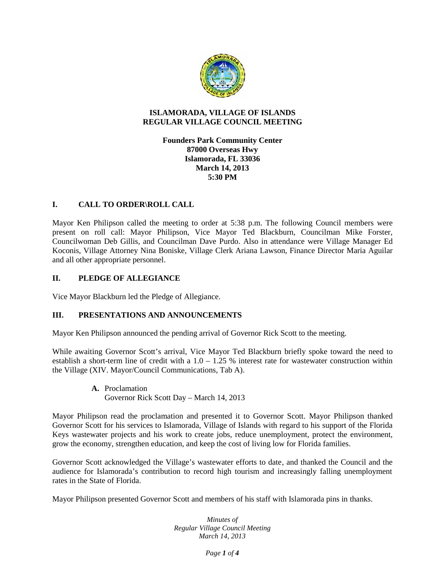

#### **ISLAMORADA, VILLAGE OF ISLANDS REGULAR VILLAGE COUNCIL MEETING**

**Founders Park Community Center 87000 Overseas Hwy Islamorada, FL 33036 March 14, 2013 5:30 PM**

# **I. CALL TO ORDER\ROLL CALL**

Mayor Ken Philipson called the meeting to order at 5:38 p.m. The following Council members were present on roll call: Mayor Philipson, Vice Mayor Ted Blackburn, Councilman Mike Forster, Councilwoman Deb Gillis, and Councilman Dave Purdo. Also in attendance were Village Manager Ed Koconis, Village Attorney Nina Boniske, Village Clerk Ariana Lawson, Finance Director Maria Aguilar and all other appropriate personnel.

# **II. PLEDGE OF ALLEGIANCE**

Vice Mayor Blackburn led the Pledge of Allegiance.

## **III. PRESENTATIONS AND ANNOUNCEMENTS**

Mayor Ken Philipson announced the pending arrival of Governor Rick Scott to the meeting.

While awaiting Governor Scott's arrival, Vice Mayor Ted Blackburn briefly spoke toward the need to establish a short-term line of credit with a  $1.0 - 1.25$  % interest rate for wastewater construction within the Village (XIV. Mayor/Council Communications, Tab A).

> **A.** Proclamation Governor Rick Scott Day – March 14, 2013

Mayor Philipson read the proclamation and presented it to Governor Scott. Mayor Philipson thanked Governor Scott for his services to Islamorada, Village of Islands with regard to his support of the Florida Keys wastewater projects and his work to create jobs, reduce unemployment, protect the environment, grow the economy, strengthen education, and keep the cost of living low for Florida families.

Governor Scott acknowledged the Village's wastewater efforts to date, and thanked the Council and the audience for Islamorada's contribution to record high tourism and increasingly falling unemployment rates in the State of Florida.

Mayor Philipson presented Governor Scott and members of his staff with Islamorada pins in thanks.

*Minutes of Regular Village Council Meeting March 14, 2013*

*Page 1 of 4*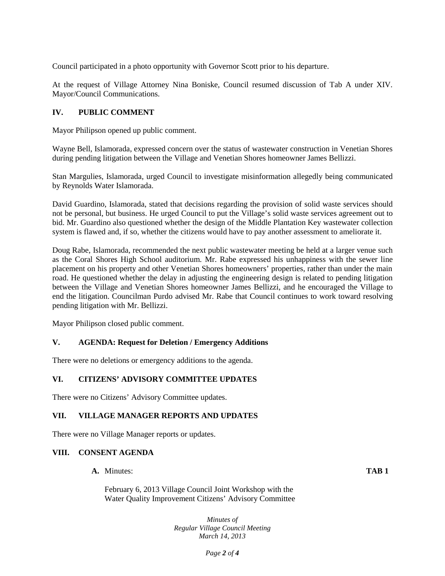Council participated in a photo opportunity with Governor Scott prior to his departure.

At the request of Village Attorney Nina Boniske, Council resumed discussion of Tab A under XIV. Mayor/Council Communications.

# **IV. PUBLIC COMMENT**

Mayor Philipson opened up public comment.

Wayne Bell, Islamorada, expressed concern over the status of wastewater construction in Venetian Shores during pending litigation between the Village and Venetian Shores homeowner James Bellizzi.

Stan Margulies, Islamorada, urged Council to investigate misinformation allegedly being communicated by Reynolds Water Islamorada.

David Guardino, Islamorada, stated that decisions regarding the provision of solid waste services should not be personal, but business. He urged Council to put the Village's solid waste services agreement out to bid. Mr. Guardino also questioned whether the design of the Middle Plantation Key wastewater collection system is flawed and, if so, whether the citizens would have to pay another assessment to ameliorate it.

Doug Rabe, Islamorada, recommended the next public wastewater meeting be held at a larger venue such as the Coral Shores High School auditorium. Mr. Rabe expressed his unhappiness with the sewer line placement on his property and other Venetian Shores homeowners' properties, rather than under the main road. He questioned whether the delay in adjusting the engineering design is related to pending litigation between the Village and Venetian Shores homeowner James Bellizzi, and he encouraged the Village to end the litigation. Councilman Purdo advised Mr. Rabe that Council continues to work toward resolving pending litigation with Mr. Bellizzi.

Mayor Philipson closed public comment.

## **V. AGENDA: Request for Deletion / Emergency Additions**

There were no deletions or emergency additions to the agenda.

## **VI. CITIZENS' ADVISORY COMMITTEE UPDATES**

There were no Citizens' Advisory Committee updates.

## **VII. VILLAGE MANAGER REPORTS AND UPDATES**

There were no Village Manager reports or updates.

## **VIII. CONSENT AGENDA**

**A.** Minutes: **TAB 1**

February 6, 2013 Village Council Joint Workshop with the Water Quality Improvement Citizens' Advisory Committee

> *Minutes of Regular Village Council Meeting March 14, 2013*

> > *Page 2 of 4*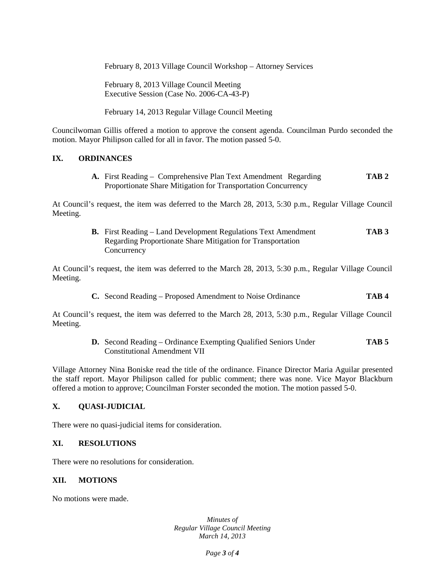February 8, 2013 Village Council Workshop – Attorney Services

February 8, 2013 Village Council Meeting Executive Session (Case No. 2006-CA-43-P)

February 14, 2013 Regular Village Council Meeting

Councilwoman Gillis offered a motion to approve the consent agenda. Councilman Purdo seconded the motion. Mayor Philipson called for all in favor. The motion passed 5-0.

## **IX. ORDINANCES**

**A.** First Reading – Comprehensive Plan Text Amendment Regarding **TAB 2** Proportionate Share Mitigation for Transportation Concurrency

At Council's request, the item was deferred to the March 28, 2013, 5:30 p.m., Regular Village Council Meeting.

> **B.** First Reading – Land Development Regulations Text Amendment **TAB 3** Regarding Proportionate Share Mitigation for Transportation **Concurrency**

At Council's request, the item was deferred to the March 28, 2013, 5:30 p.m., Regular Village Council Meeting.

**C.** Second Reading – Proposed Amendment to Noise Ordinance **TAB 4**

At Council's request, the item was deferred to the March 28, 2013, 5:30 p.m., Regular Village Council Meeting.

> **D.** Second Reading – Ordinance Exempting Qualified Seniors Under **TAB 5** Constitutional Amendment VII

Village Attorney Nina Boniske read the title of the ordinance. Finance Director Maria Aguilar presented the staff report. Mayor Philipson called for public comment; there was none. Vice Mayor Blackburn offered a motion to approve; Councilman Forster seconded the motion. The motion passed 5-0.

## **X. QUASI-JUDICIAL**

There were no quasi-judicial items for consideration.

#### **XI. RESOLUTIONS**

There were no resolutions for consideration.

#### **XII. MOTIONS**

No motions were made.

*Minutes of Regular Village Council Meeting March 14, 2013*

*Page 3 of 4*